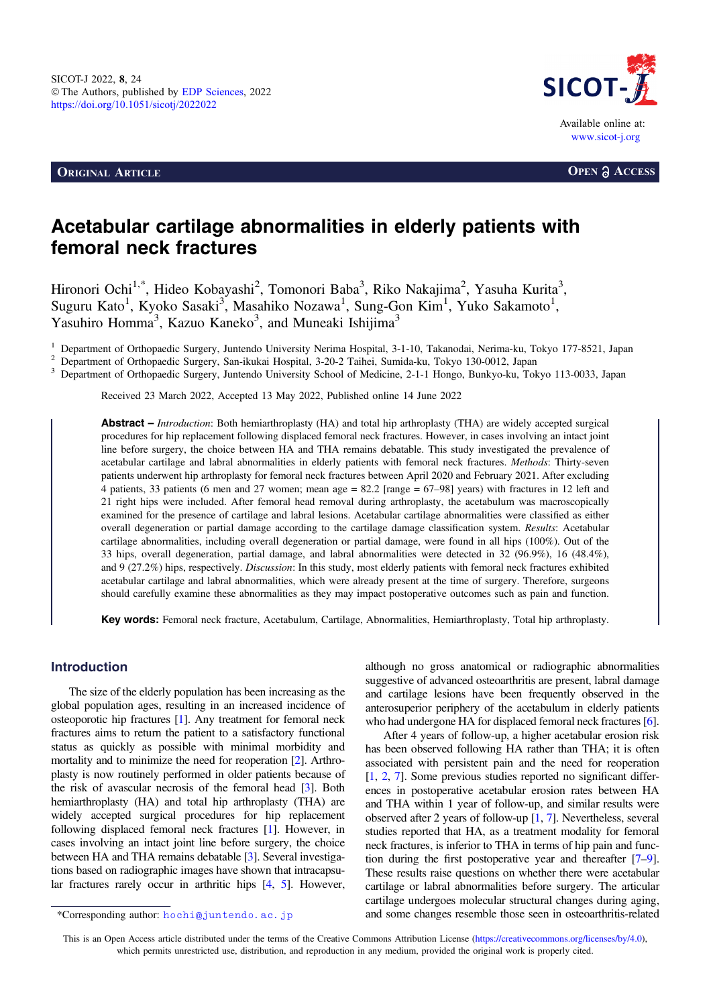**ORIGINAL ARTICLE OPEN a** ACCESS



# Acetabular cartilage abnormalities in elderly patients with femoral neck fractures

Hironori Ochi<sup>1,\*</sup>, Hideo Kobayashi<sup>2</sup>, Tomonori Baba<sup>3</sup>, Riko Nakajima<sup>2</sup>, Yasuha Kurita<sup>3</sup>, Suguru Kato<sup>1</sup>, Kyoko Sasaki<sup>3</sup>, Masahiko Nozawa<sup>1</sup>, Sung-Gon Kim<sup>1</sup>, Yuko Sakamoto<sup>1</sup>, Yasuhiro Homma<sup>3</sup>, Kazuo Kaneko<sup>3</sup>, and Muneaki Ishijima<sup>3</sup>

<sup>1</sup> Department of Orthopaedic Surgery, Juntendo University Nerima Hospital, 3-1-10, Takanodai, Nerima-ku, Tokyo 177-8521, Japan<sup>2</sup> Department of Orthopaedic Surgery, San-ikukai Hospital, 3-20-2 Taihei, Sumida-ku, Tokyo 130

Received 23 March 2022, Accepted 13 May 2022, Published online 14 June 2022

Abstract – Introduction: Both hemiarthroplasty (HA) and total hip arthroplasty (THA) are widely accepted surgical procedures for hip replacement following displaced femoral neck fractures. However, in cases involving an intact joint line before surgery, the choice between HA and THA remains debatable. This study investigated the prevalence of acetabular cartilage and labral abnormalities in elderly patients with femoral neck fractures. Methods: Thirty-seven patients underwent hip arthroplasty for femoral neck fractures between April 2020 and February 2021. After excluding 4 patients, 33 patients (6 men and 27 women; mean age = 82.2 [range = 67–98] years) with fractures in 12 left and 21 right hips were included. After femoral head removal during arthroplasty, the acetabulum was macroscopically examined for the presence of cartilage and labral lesions. Acetabular cartilage abnormalities were classified as either overall degeneration or partial damage according to the cartilage damage classification system. Results: Acetabular cartilage abnormalities, including overall degeneration or partial damage, were found in all hips (100%). Out of the 33 hips, overall degeneration, partial damage, and labral abnormalities were detected in 32 (96.9%), 16 (48.4%), and 9 (27.2%) hips, respectively. Discussion: In this study, most elderly patients with femoral neck fractures exhibited acetabular cartilage and labral abnormalities, which were already present at the time of surgery. Therefore, surgeons should carefully examine these abnormalities as they may impact postoperative outcomes such as pain and function.

Key words: Femoral neck fracture, Acetabulum, Cartilage, Abnormalities, Hemiarthroplasty, Total hip arthroplasty.

# Introduction

The size of the elderly population has been increasing as the global population ages, resulting in an increased incidence of osteoporotic hip fractures [[1](#page-5-0)]. Any treatment for femoral neck fractures aims to return the patient to a satisfactory functional status as quickly as possible with minimal morbidity and mortality and to minimize the need for reoperation [[2\]](#page-5-0). Arthroplasty is now routinely performed in older patients because of the risk of avascular necrosis of the femoral head [\[3\]](#page-5-0). Both hemiarthroplasty (HA) and total hip arthroplasty (THA) are widely accepted surgical procedures for hip replacement following displaced femoral neck fractures [\[1\]](#page-5-0). However, in cases involving an intact joint line before surgery, the choice between HA and THA remains debatable [[3](#page-5-0)]. Several investigations based on radiographic images have shown that intracapsular fractures rarely occur in arthritic hips [[4,](#page-5-0) [5](#page-5-0)]. However,

although no gross anatomical or radiographic abnormalities suggestive of advanced osteoarthritis are present, labral damage and cartilage lesions have been frequently observed in the anterosuperior periphery of the acetabulum in elderly patients who had undergone HA for displaced femoral neck fractures [\[6](#page-5-0)].

After 4 years of follow-up, a higher acetabular erosion risk has been observed following HA rather than THA; it is often associated with persistent pain and the need for reoperation [[1,](#page-5-0) [2](#page-5-0), [7\]](#page-6-0). Some previous studies reported no significant differences in postoperative acetabular erosion rates between HA and THA within 1 year of follow-up, and similar results were observed after 2 years of follow-up [\[1,](#page-5-0) [7\]](#page-6-0). Nevertheless, several studies reported that HA, as a treatment modality for femoral neck fractures, is inferior to THA in terms of hip pain and function during the first postoperative year and thereafter [[7](#page-6-0)–[9](#page-6-0)]. These results raise questions on whether there were acetabular cartilage or labral abnormalities before surgery. The articular cartilage undergoes molecular structural changes during aging, \*Corresponding author: hochi@juntendo.ac.jp and some changes resemble those seen in osteoarthritis-related

This is an Open Access article distributed under the terms of the Creative Commons Attribution License [\(https://creativecommons.org/licenses/by/4.0](https://creativecommons.org/licenses/by/4.0/)), which permits unrestricted use, distribution, and reproduction in any medium, provided the original work is properly cited.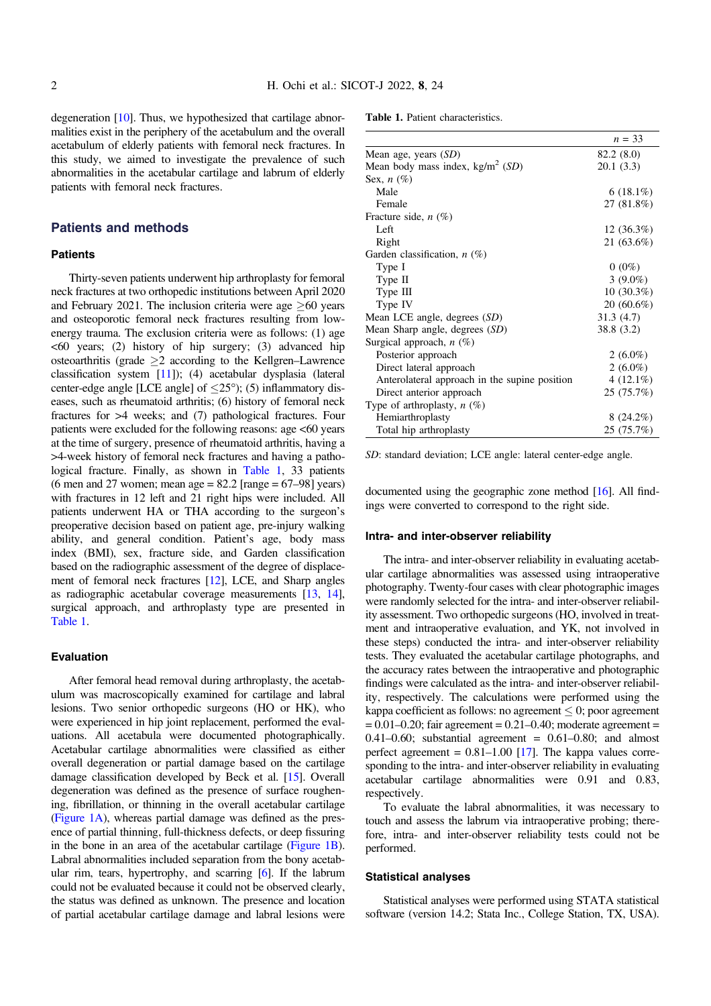degeneration [\[10\]](#page-6-0). Thus, we hypothesized that cartilage abnormalities exist in the periphery of the acetabulum and the overall acetabulum of elderly patients with femoral neck fractures. In this study, we aimed to investigate the prevalence of such abnormalities in the acetabular cartilage and labrum of elderly patients with femoral neck fractures.

#### Patients and methods

#### **Patients**

Thirty-seven patients underwent hip arthroplasty for femoral neck fractures at two orthopedic institutions between April 2020 and February 2021. The inclusion criteria were age  $>60$  years and osteoporotic femoral neck fractures resulting from lowenergy trauma. The exclusion criteria were as follows: (1) age  $\leq 60$  years; (2) history of hip surgery; (3) advanced hip osteoarthritis (grade  $\geq 2$  according to the Kellgren–Lawrence classification system [[11](#page-6-0)]); (4) acetabular dysplasia (lateral center-edge angle [LCE angle] of  $\leq$ 25°); (5) inflammatory diseases, such as rheumatoid arthritis; (6) history of femoral neck fractures for >4 weeks; and (7) pathological fractures. Four patients were excluded for the following reasons: age <60 years at the time of surgery, presence of rheumatoid arthritis, having a >4-week history of femoral neck fractures and having a pathological fracture. Finally, as shown in Table 1, 33 patients (6 men and 27 women; mean age =  $82.2$  [range =  $67-98$ ] years) with fractures in 12 left and 21 right hips were included. All patients underwent HA or THA according to the surgeon's preoperative decision based on patient age, pre-injury walking ability, and general condition. Patient's age, body mass index (BMI), sex, fracture side, and Garden classification based on the radiographic assessment of the degree of displacement of femoral neck fractures [\[12](#page-6-0)], LCE, and Sharp angles as radiographic acetabular coverage measurements [\[13](#page-6-0), [14](#page-6-0)], surgical approach, and arthroplasty type are presented in Table 1.

#### Evaluation

After femoral head removal during arthroplasty, the acetabulum was macroscopically examined for cartilage and labral lesions. Two senior orthopedic surgeons (HO or HK), who were experienced in hip joint replacement, performed the evaluations. All acetabula were documented photographically. Acetabular cartilage abnormalities were classified as either overall degeneration or partial damage based on the cartilage damage classification developed by Beck et al. [[15](#page-6-0)]. Overall degeneration was defined as the presence of surface roughening, fibrillation, or thinning in the overall acetabular cartilage ([Figure 1A](#page-2-0)), whereas partial damage was defined as the presence of partial thinning, full-thickness defects, or deep fissuring in the bone in an area of the acetabular cartilage [\(Figure 1B](#page-2-0)). Labral abnormalities included separation from the bony acetabular rim, tears, hypertrophy, and scarring [\[6](#page-5-0)]. If the labrum could not be evaluated because it could not be observed clearly, the status was defined as unknown. The presence and location of partial acetabular cartilage damage and labral lesions were

Table 1. Patient characteristics.

|                                               | $n = 33$     |
|-----------------------------------------------|--------------|
| Mean age, years $(SD)$                        | 82.2 (8.0)   |
| Mean body mass index, $\text{kg/m}^2$ (SD)    | 20.1(3.3)    |
| Sex, $n(\%)$                                  |              |
| Male                                          | $6(18.1\%)$  |
| Female                                        | 27 (81.8%)   |
| Fracture side, $n$ (%)                        |              |
| Left                                          | 12(36.3%)    |
| Right                                         | 21 (63.6%)   |
| Garden classification, $n(\%)$                |              |
| Type I                                        | $0(0\%)$     |
| Type II                                       | 3 $(9.0\%)$  |
| Type III                                      | $10(30.3\%)$ |
| Type IV                                       | $20(60.6\%)$ |
| Mean LCE angle, degrees $(SD)$                | 31.3(4.7)    |
| Mean Sharp angle, degrees (SD)                | 38.8 (3.2)   |
| Surgical approach, $n(\%)$                    |              |
| Posterior approach                            | 2 $(6.0\%)$  |
| Direct lateral approach                       | 2 $(6.0\%)$  |
| Anterolateral approach in the supine position | 4 $(12.1\%)$ |
| Direct anterior approach                      | 25 (75.7%)   |
| Type of arthroplasty, $n$ (%)                 |              |
| Hemiarthroplasty                              | $8(24.2\%)$  |
| Total hip arthroplasty                        | 25 (75.7%)   |

SD: standard deviation; LCE angle: lateral center-edge angle.

documented using the geographic zone method [\[16](#page-6-0)]. All findings were converted to correspond to the right side.

#### Intra- and inter-observer reliability

The intra- and inter-observer reliability in evaluating acetabular cartilage abnormalities was assessed using intraoperative photography. Twenty-four cases with clear photographic images were randomly selected for the intra- and inter-observer reliability assessment. Two orthopedic surgeons (HO, involved in treatment and intraoperative evaluation, and YK, not involved in these steps) conducted the intra- and inter-observer reliability tests. They evaluated the acetabular cartilage photographs, and the accuracy rates between the intraoperative and photographic findings were calculated as the intra- and inter-observer reliability, respectively. The calculations were performed using the kappa coefficient as follows: no agreement  $\leq 0$ ; poor agreement  $= 0.01 - 0.20$ ; fair agreement  $= 0.21 - 0.40$ ; moderate agreement  $=$ 0.41–0.60; substantial agreement =  $0.61-0.80$ ; and almost perfect agreement =  $0.81-1.00$  [[17\]](#page-6-0). The kappa values corresponding to the intra- and inter-observer reliability in evaluating acetabular cartilage abnormalities were 0.91 and 0.83, respectively.

To evaluate the labral abnormalities, it was necessary to touch and assess the labrum via intraoperative probing; therefore, intra- and inter-observer reliability tests could not be performed.

#### Statistical analyses

Statistical analyses were performed using STATA statistical software (version 14.2; Stata Inc., College Station, TX, USA).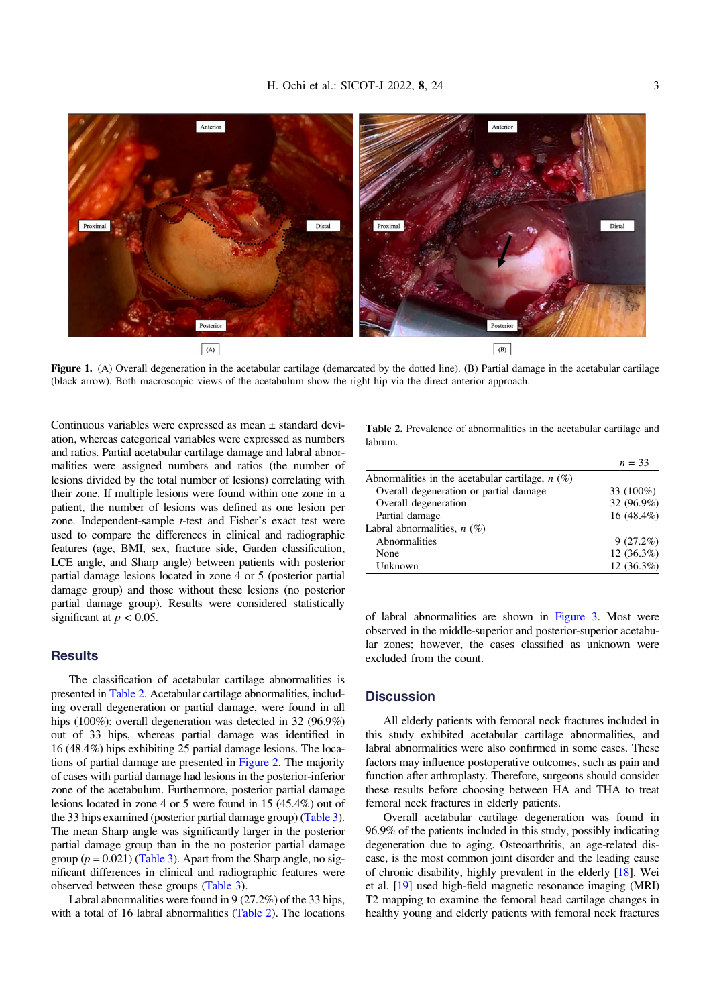<span id="page-2-0"></span>

Figure 1. (A) Overall degeneration in the acetabular cartilage (demarcated by the dotted line). (B) Partial damage in the acetabular cartilage (black arrow). Both macroscopic views of the acetabulum show the right hip via the direct anterior approach.

Continuous variables were expressed as mean ± standard deviation, whereas categorical variables were expressed as numbers and ratios. Partial acetabular cartilage damage and labral abnormalities were assigned numbers and ratios (the number of lesions divided by the total number of lesions) correlating with their zone. If multiple lesions were found within one zone in a patient, the number of lesions was defined as one lesion per zone. Independent-sample t-test and Fisher's exact test were used to compare the differences in clinical and radiographic features (age, BMI, sex, fracture side, Garden classification, LCE angle, and Sharp angle) between patients with posterior partial damage lesions located in zone 4 or 5 (posterior partial damage group) and those without these lesions (no posterior partial damage group). Results were considered statistically significant at  $p < 0.05$ .

# **Results**

The classification of acetabular cartilage abnormalities is presented in Table 2. Acetabular cartilage abnormalities, including overall degeneration or partial damage, were found in all hips (100%); overall degeneration was detected in 32 (96.9%) out of 33 hips, whereas partial damage was identified in 16 (48.4%) hips exhibiting 25 partial damage lesions. The locations of partial damage are presented in [Figure 2](#page-3-0). The majority of cases with partial damage had lesions in the posterior-inferior zone of the acetabulum. Furthermore, posterior partial damage lesions located in zone 4 or 5 were found in 15 (45.4%) out of the 33 hips examined (posterior partial damage group) [\(Table 3](#page-4-0)). The mean Sharp angle was significantly larger in the posterior partial damage group than in the no posterior partial damage group ( $p = 0.021$ ) ([Table 3\)](#page-4-0). Apart from the Sharp angle, no significant differences in clinical and radiographic features were observed between these groups [\(Table 3](#page-4-0)).

Labral abnormalities were found in 9 (27.2%) of the 33 hips, with a total of 16 labral abnormalities (Table 2). The locations

Table 2. Prevalence of abnormalities in the acetabular cartilage and labrum.

|                                                    | $n = 33$     |
|----------------------------------------------------|--------------|
| Abnormalities in the acetabular cartilage, $n$ (%) |              |
| Overall degeneration or partial damage             | 33 (100%)    |
| Overall degeneration                               | 32 (96.9%)   |
| Partial damage                                     | 16 (48.4%)   |
| Labral abnormalities, $n(\%)$                      |              |
| Abnormalities                                      | 9(27.2%)     |
| None                                               | $12(36.3\%)$ |
| Unknown                                            | $12(36.3\%)$ |
|                                                    |              |

of labral abnormalities are shown in [Figure 3](#page-4-0). Most were observed in the middle-superior and posterior-superior acetabular zones; however, the cases classified as unknown were excluded from the count.

#### **Discussion**

All elderly patients with femoral neck fractures included in this study exhibited acetabular cartilage abnormalities, and labral abnormalities were also confirmed in some cases. These factors may influence postoperative outcomes, such as pain and function after arthroplasty. Therefore, surgeons should consider these results before choosing between HA and THA to treat femoral neck fractures in elderly patients.

Overall acetabular cartilage degeneration was found in 96.9% of the patients included in this study, possibly indicating degeneration due to aging. Osteoarthritis, an age-related disease, is the most common joint disorder and the leading cause of chronic disability, highly prevalent in the elderly [\[18\]](#page-6-0). Wei et al. [\[19\]](#page-6-0) used high-field magnetic resonance imaging (MRI) T2 mapping to examine the femoral head cartilage changes in healthy young and elderly patients with femoral neck fractures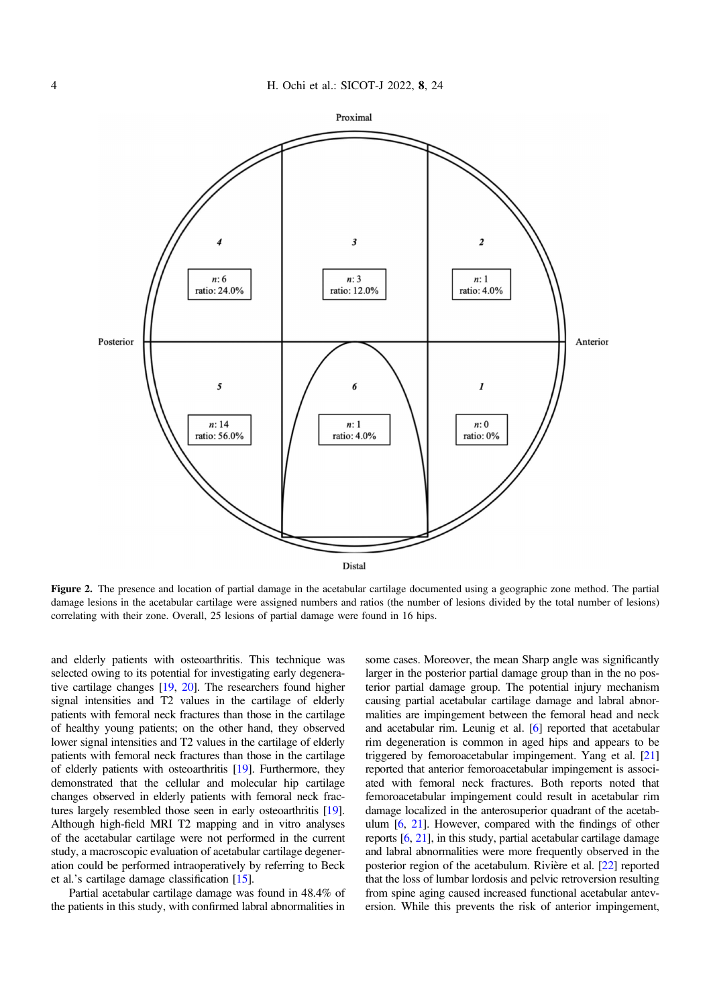<span id="page-3-0"></span>

Figure 2. The presence and location of partial damage in the acetabular cartilage documented using a geographic zone method. The partial damage lesions in the acetabular cartilage were assigned numbers and ratios (the number of lesions divided by the total number of lesions) correlating with their zone. Overall, 25 lesions of partial damage were found in 16 hips.

and elderly patients with osteoarthritis. This technique was selected owing to its potential for investigating early degenerative cartilage changes [\[19](#page-6-0), [20](#page-6-0)]. The researchers found higher signal intensities and T2 values in the cartilage of elderly patients with femoral neck fractures than those in the cartilage of healthy young patients; on the other hand, they observed lower signal intensities and T2 values in the cartilage of elderly patients with femoral neck fractures than those in the cartilage of elderly patients with osteoarthritis [\[19\]](#page-6-0). Furthermore, they demonstrated that the cellular and molecular hip cartilage changes observed in elderly patients with femoral neck fractures largely resembled those seen in early osteoarthritis [\[19](#page-6-0)]. Although high-field MRI T2 mapping and in vitro analyses of the acetabular cartilage were not performed in the current study, a macroscopic evaluation of acetabular cartilage degeneration could be performed intraoperatively by referring to Beck et al.'s cartilage damage classification [\[15\]](#page-6-0).

Partial acetabular cartilage damage was found in 48.4% of the patients in this study, with confirmed labral abnormalities in

some cases. Moreover, the mean Sharp angle was significantly larger in the posterior partial damage group than in the no posterior partial damage group. The potential injury mechanism causing partial acetabular cartilage damage and labral abnormalities are impingement between the femoral head and neck and acetabular rim. Leunig et al. [\[6](#page-5-0)] reported that acetabular rim degeneration is common in aged hips and appears to be triggered by femoroacetabular impingement. Yang et al. [\[21\]](#page-6-0) reported that anterior femoroacetabular impingement is associated with femoral neck fractures. Both reports noted that femoroacetabular impingement could result in acetabular rim damage localized in the anterosuperior quadrant of the acetabulum [[6,](#page-5-0) [21\]](#page-6-0). However, compared with the findings of other reports [[6,](#page-5-0) [21](#page-6-0)], in this study, partial acetabular cartilage damage and labral abnormalities were more frequently observed in the posterior region of the acetabulum. Rivière et al. [\[22\]](#page-6-0) reported that the loss of lumbar lordosis and pelvic retroversion resulting from spine aging caused increased functional acetabular anteversion. While this prevents the risk of anterior impingement,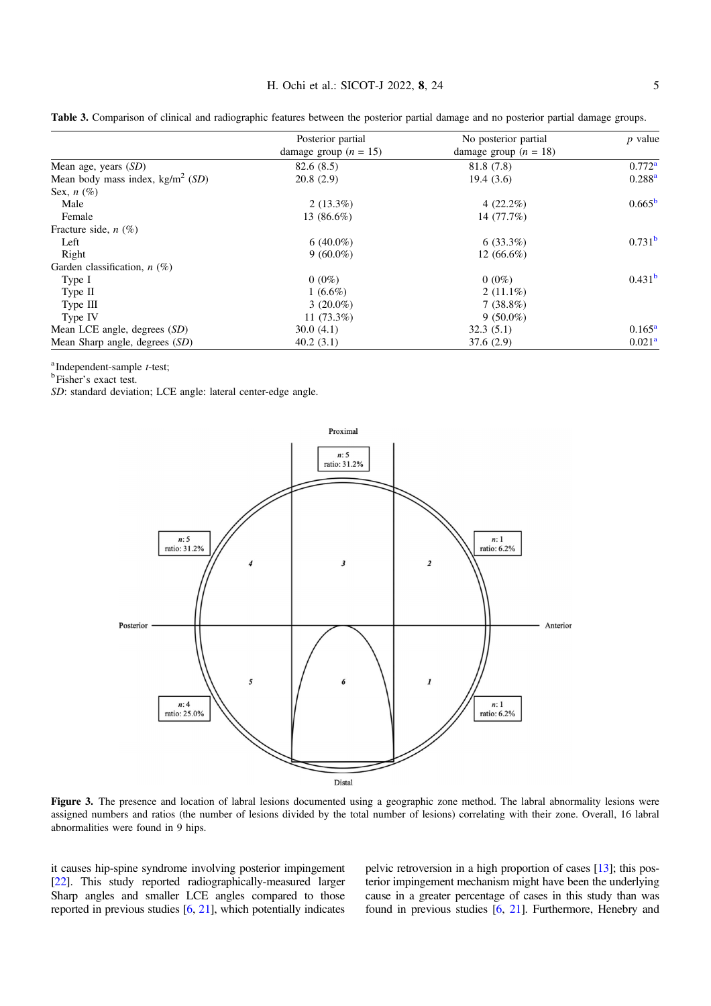|                                           | Posterior partial       | No posterior partial    | $p$ value          |
|-------------------------------------------|-------------------------|-------------------------|--------------------|
|                                           | damage group $(n = 15)$ | damage group $(n = 18)$ |                    |
| Mean age, years $(SD)$                    | 82.6(8.5)               | 81.8 (7.8)              | $0.772^{\rm a}$    |
| Mean body mass index, $\text{kg/m}^2(SD)$ | 20.8(2.9)               | 19.4(3.6)               | $0.288^{a}$        |
| Sex, $n(\%)$                              |                         |                         |                    |
| Male                                      | $2(13.3\%)$             | $4(22.2\%)$             | 0.665 <sup>b</sup> |
| Female                                    | 13 (86.6%)              | 14 (77.7%)              |                    |
| Fracture side, $n$ (%)                    |                         |                         |                    |
| Left                                      | 6 $(40.0\%)$            | $6(33.3\%)$             | 0.731 <sup>b</sup> |
| Right                                     | $9(60.0\%)$             | $12(66.6\%)$            |                    |
| Garden classification, $n$ (%)            |                         |                         |                    |
| Type I                                    | $0(0\%)$                | $0(0\%)$                | 0.431 <sup>b</sup> |
| Type $II$                                 | $1(6.6\%)$              | $2(11.1\%)$             |                    |
| Type III                                  | $3(20.0\%)$             | $7(38.8\%)$             |                    |
| Type IV                                   | 11 $(73.3\%)$           | $9(50.0\%)$             |                    |
| Mean LCE angle, degrees (SD)              | 30.0(4.1)               | 32.3(5.1)               | $0.165^{\rm a}$    |
| Mean Sharp angle, degrees (SD)            | 40.2(3.1)               | 37.6(2.9)               | 0.021 <sup>a</sup> |

<span id="page-4-0"></span>Table 3. Comparison of clinical and radiographic features between the posterior partial damage and no posterior partial damage groups.

<sup>a</sup>Independent-sample *t*-test;

Fisher's exact test.

SD: standard deviation; LCE angle: lateral center-edge angle.



Figure 3. The presence and location of labral lesions documented using a geographic zone method. The labral abnormality lesions were assigned numbers and ratios (the number of lesions divided by the total number of lesions) correlating with their zone. Overall, 16 labral abnormalities were found in 9 hips.

it causes hip-spine syndrome involving posterior impingement [[22](#page-6-0)]. This study reported radiographically-measured larger Sharp angles and smaller LCE angles compared to those reported in previous studies [[6,](#page-5-0) [21\]](#page-6-0), which potentially indicates pelvic retroversion in a high proportion of cases [\[13\]](#page-6-0); this posterior impingement mechanism might have been the underlying cause in a greater percentage of cases in this study than was found in previous studies [[6,](#page-5-0) [21\]](#page-6-0). Furthermore, Henebry and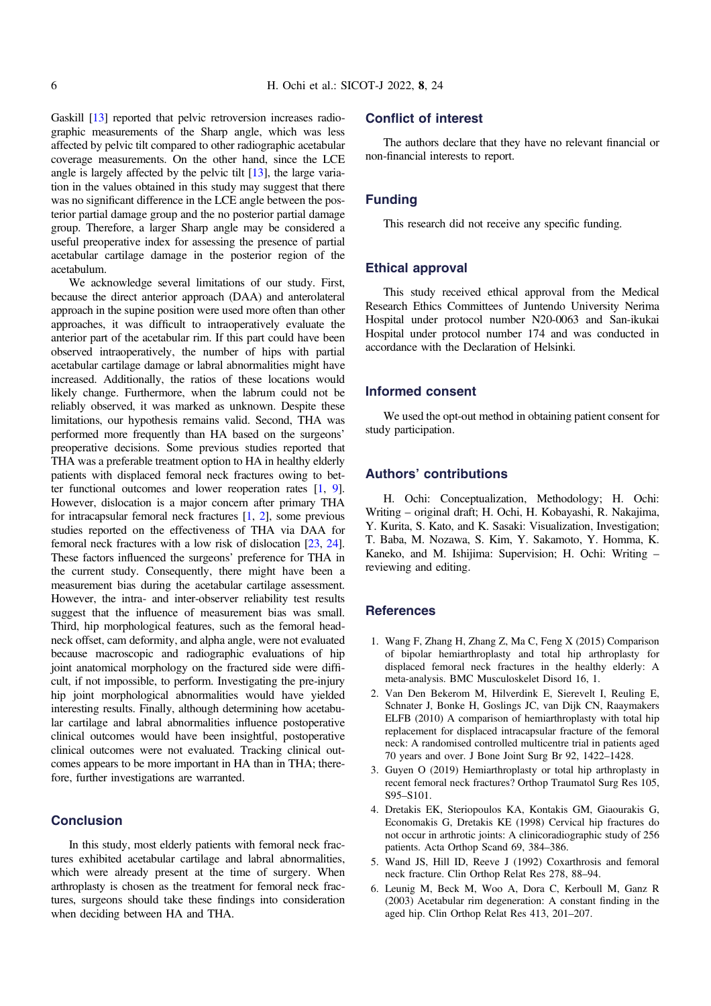<span id="page-5-0"></span>Gaskill [\[13\]](#page-6-0) reported that pelvic retroversion increases radiographic measurements of the Sharp angle, which was less affected by pelvic tilt compared to other radiographic acetabular coverage measurements. On the other hand, since the LCE angle is largely affected by the pelvic tilt [\[13\]](#page-6-0), the large variation in the values obtained in this study may suggest that there was no significant difference in the LCE angle between the posterior partial damage group and the no posterior partial damage group. Therefore, a larger Sharp angle may be considered a useful preoperative index for assessing the presence of partial acetabular cartilage damage in the posterior region of the acetabulum.

We acknowledge several limitations of our study. First, because the direct anterior approach (DAA) and anterolateral approach in the supine position were used more often than other approaches, it was difficult to intraoperatively evaluate the anterior part of the acetabular rim. If this part could have been observed intraoperatively, the number of hips with partial acetabular cartilage damage or labral abnormalities might have increased. Additionally, the ratios of these locations would likely change. Furthermore, when the labrum could not be reliably observed, it was marked as unknown. Despite these limitations, our hypothesis remains valid. Second, THA was performed more frequently than HA based on the surgeons' preoperative decisions. Some previous studies reported that THA was a preferable treatment option to HA in healthy elderly patients with displaced femoral neck fractures owing to better functional outcomes and lower reoperation rates [1, [9](#page-6-0)]. However, dislocation is a major concern after primary THA for intracapsular femoral neck fractures [1, 2], some previous studies reported on the effectiveness of THA via DAA for femoral neck fractures with a low risk of dislocation [\[23,](#page-6-0) [24](#page-6-0)]. These factors influenced the surgeons' preference for THA in the current study. Consequently, there might have been a measurement bias during the acetabular cartilage assessment. However, the intra- and inter-observer reliability test results suggest that the influence of measurement bias was small. Third, hip morphological features, such as the femoral headneck offset, cam deformity, and alpha angle, were not evaluated because macroscopic and radiographic evaluations of hip joint anatomical morphology on the fractured side were difficult, if not impossible, to perform. Investigating the pre-injury hip joint morphological abnormalities would have yielded interesting results. Finally, although determining how acetabular cartilage and labral abnormalities influence postoperative clinical outcomes would have been insightful, postoperative clinical outcomes were not evaluated. Tracking clinical outcomes appears to be more important in HA than in THA; therefore, further investigations are warranted.

## **Conclusion**

In this study, most elderly patients with femoral neck fractures exhibited acetabular cartilage and labral abnormalities, which were already present at the time of surgery. When arthroplasty is chosen as the treatment for femoral neck fractures, surgeons should take these findings into consideration when deciding between HA and THA.

## Conflict of interest

The authors declare that they have no relevant financial or non-financial interests to report.

# Funding

This research did not receive any specific funding.

## Ethical approval

This study received ethical approval from the Medical Research Ethics Committees of Juntendo University Nerima Hospital under protocol number N20-0063 and San-ikukai Hospital under protocol number 174 and was conducted in accordance with the Declaration of Helsinki.

#### Informed consent

We used the opt-out method in obtaining patient consent for study participation.

# Authors' contributions

H. Ochi: Conceptualization, Methodology; H. Ochi: Writing – original draft; H. Ochi, H. Kobayashi, R. Nakajima, Y. Kurita, S. Kato, and K. Sasaki: Visualization, Investigation; T. Baba, M. Nozawa, S. Kim, Y. Sakamoto, Y. Homma, K. Kaneko, and M. Ishijima: Supervision; H. Ochi: Writing – reviewing and editing.

## **References**

- 1. Wang F, Zhang H, Zhang Z, Ma C, Feng X (2015) Comparison of bipolar hemiarthroplasty and total hip arthroplasty for displaced femoral neck fractures in the healthy elderly: A meta-analysis. BMC Musculoskelet Disord 16, 1.
- 2. Van Den Bekerom M, Hilverdink E, Sierevelt I, Reuling E, Schnater J, Bonke H, Goslings JC, van Dijk CN, Raaymakers ELFB (2010) A comparison of hemiarthroplasty with total hip replacement for displaced intracapsular fracture of the femoral neck: A randomised controlled multicentre trial in patients aged 70 years and over. J Bone Joint Surg Br 92, 1422–1428.
- 3. Guyen O (2019) Hemiarthroplasty or total hip arthroplasty in recent femoral neck fractures? Orthop Traumatol Surg Res 105, S95–S101.
- 4. Dretakis EK, Steriopoulos KA, Kontakis GM, Giaourakis G, Economakis G, Dretakis KE (1998) Cervical hip fractures do not occur in arthrotic joints: A clinicoradiographic study of 256 patients. Acta Orthop Scand 69, 384–386.
- 5. Wand JS, Hill ID, Reeve J (1992) Coxarthrosis and femoral neck fracture. Clin Orthop Relat Res 278, 88–94.
- 6. Leunig M, Beck M, Woo A, Dora C, Kerboull M, Ganz R (2003) Acetabular rim degeneration: A constant finding in the aged hip. Clin Orthop Relat Res 413, 201–207.